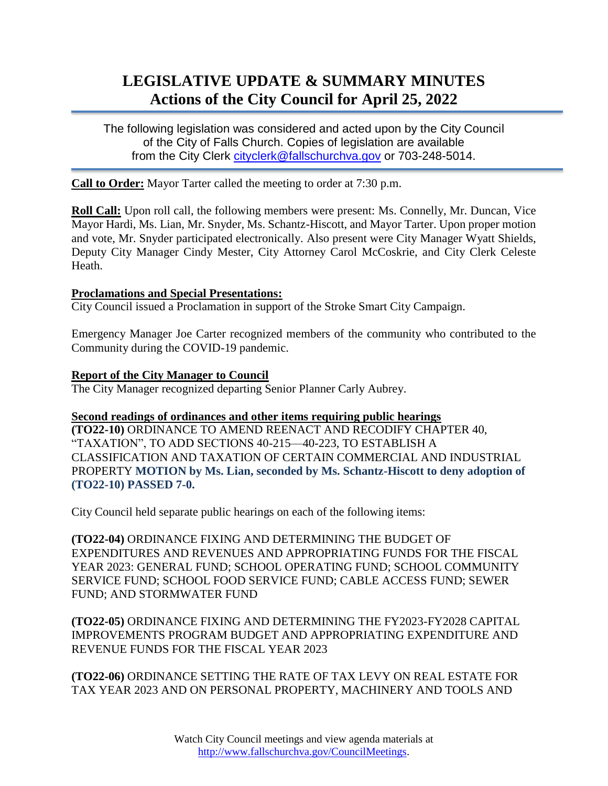# **LEGISLATIVE UPDATE & SUMMARY MINUTES Actions of the City Council for April 25, 2022**

The following legislation was considered and acted upon by the City Council of the City of Falls Church. Copies of legislation are available from the City Clerk [cityclerk@fallschurchva.gov](mailto:cityclerk@fallschurchva.gov) or 703-248-5014.

**Call to Order:** Mayor Tarter called the meeting to order at 7:30 p.m.

**Roll Call:** Upon roll call, the following members were present: Ms. Connelly, Mr. Duncan, Vice Mayor Hardi, Ms. Lian, Mr. Snyder, Ms. Schantz-Hiscott, and Mayor Tarter. Upon proper motion and vote, Mr. Snyder participated electronically. Also present were City Manager Wyatt Shields, Deputy City Manager Cindy Mester, City Attorney Carol McCoskrie, and City Clerk Celeste Heath.

## **Proclamations and Special Presentations:**

City Council issued a Proclamation in support of the Stroke Smart City Campaign.

Emergency Manager Joe Carter recognized members of the community who contributed to the Community during the COVID-19 pandemic.

## **Report of the City Manager to Council**

The City Manager recognized departing Senior Planner Carly Aubrey.

## **Second readings of ordinances and other items requiring public hearings**

**(TO22-10)** ORDINANCE TO AMEND REENACT AND RECODIFY CHAPTER 40, "TAXATION", TO ADD SECTIONS 40-215—40-223, TO ESTABLISH A CLASSIFICATION AND TAXATION OF CERTAIN COMMERCIAL AND INDUSTRIAL PROPERTY **MOTION by Ms. Lian, seconded by Ms. Schantz-Hiscott to deny adoption of (TO22-10) PASSED 7-0.**

City Council held separate public hearings on each of the following items:

**(TO22-04)** ORDINANCE FIXING AND DETERMINING THE BUDGET OF EXPENDITURES AND REVENUES AND APPROPRIATING FUNDS FOR THE FISCAL YEAR 2023: GENERAL FUND; SCHOOL OPERATING FUND; SCHOOL COMMUNITY SERVICE FUND; SCHOOL FOOD SERVICE FUND; CABLE ACCESS FUND; SEWER FUND; AND STORMWATER FUND

**(TO22-05)** ORDINANCE FIXING AND DETERMINING THE FY2023-FY2028 CAPITAL IMPROVEMENTS PROGRAM BUDGET AND APPROPRIATING EXPENDITURE AND REVENUE FUNDS FOR THE FISCAL YEAR 2023

**(TO22-06)** ORDINANCE SETTING THE RATE OF TAX LEVY ON REAL ESTATE FOR TAX YEAR 2023 AND ON PERSONAL PROPERTY, MACHINERY AND TOOLS AND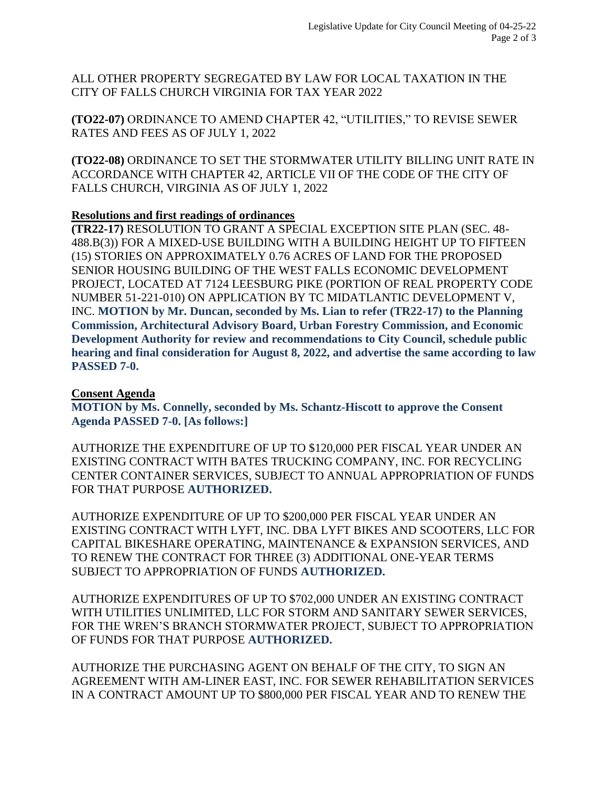ALL OTHER PROPERTY SEGREGATED BY LAW FOR LOCAL TAXATION IN THE CITY OF FALLS CHURCH VIRGINIA FOR TAX YEAR 2022

**(TO22-07)** ORDINANCE TO AMEND CHAPTER 42, "UTILITIES," TO REVISE SEWER RATES AND FEES AS OF JULY 1, 2022

**(TO22-08)** ORDINANCE TO SET THE STORMWATER UTILITY BILLING UNIT RATE IN ACCORDANCE WITH CHAPTER 42, ARTICLE VII OF THE CODE OF THE CITY OF FALLS CHURCH, VIRGINIA AS OF JULY 1, 2022

## **Resolutions and first readings of ordinances**

**(TR22-17)** RESOLUTION TO GRANT A SPECIAL EXCEPTION SITE PLAN (SEC. 48- 488.B(3)) FOR A MIXED-USE BUILDING WITH A BUILDING HEIGHT UP TO FIFTEEN (15) STORIES ON APPROXIMATELY 0.76 ACRES OF LAND FOR THE PROPOSED SENIOR HOUSING BUILDING OF THE WEST FALLS ECONOMIC DEVELOPMENT PROJECT, LOCATED AT 7124 LEESBURG PIKE (PORTION OF REAL PROPERTY CODE NUMBER 51-221-010) ON APPLICATION BY TC MIDATLANTIC DEVELOPMENT V, INC. **MOTION by Mr. Duncan, seconded by Ms. Lian to refer (TR22-17) to the Planning Commission, Architectural Advisory Board, Urban Forestry Commission, and Economic Development Authority for review and recommendations to City Council, schedule public hearing and final consideration for August 8, 2022, and advertise the same according to law PASSED 7-0.**

## **Consent Agenda**

**MOTION by Ms. Connelly, seconded by Ms. Schantz-Hiscott to approve the Consent Agenda PASSED 7-0. [As follows:]**

AUTHORIZE THE EXPENDITURE OF UP TO \$120,000 PER FISCAL YEAR UNDER AN EXISTING CONTRACT WITH BATES TRUCKING COMPANY, INC. FOR RECYCLING CENTER CONTAINER SERVICES, SUBJECT TO ANNUAL APPROPRIATION OF FUNDS FOR THAT PURPOSE **AUTHORIZED.**

AUTHORIZE EXPENDITURE OF UP TO \$200,000 PER FISCAL YEAR UNDER AN EXISTING CONTRACT WITH LYFT, INC. DBA LYFT BIKES AND SCOOTERS, LLC FOR CAPITAL BIKESHARE OPERATING, MAINTENANCE & EXPANSION SERVICES, AND TO RENEW THE CONTRACT FOR THREE (3) ADDITIONAL ONE-YEAR TERMS SUBJECT TO APPROPRIATION OF FUNDS **AUTHORIZED.**

AUTHORIZE EXPENDITURES OF UP TO \$702,000 UNDER AN EXISTING CONTRACT WITH UTILITIES UNLIMITED, LLC FOR STORM AND SANITARY SEWER SERVICES, FOR THE WREN'S BRANCH STORMWATER PROJECT, SUBJECT TO APPROPRIATION OF FUNDS FOR THAT PURPOSE **AUTHORIZED.**

AUTHORIZE THE PURCHASING AGENT ON BEHALF OF THE CITY, TO SIGN AN AGREEMENT WITH AM-LINER EAST, INC. FOR SEWER REHABILITATION SERVICES IN A CONTRACT AMOUNT UP TO \$800,000 PER FISCAL YEAR AND TO RENEW THE